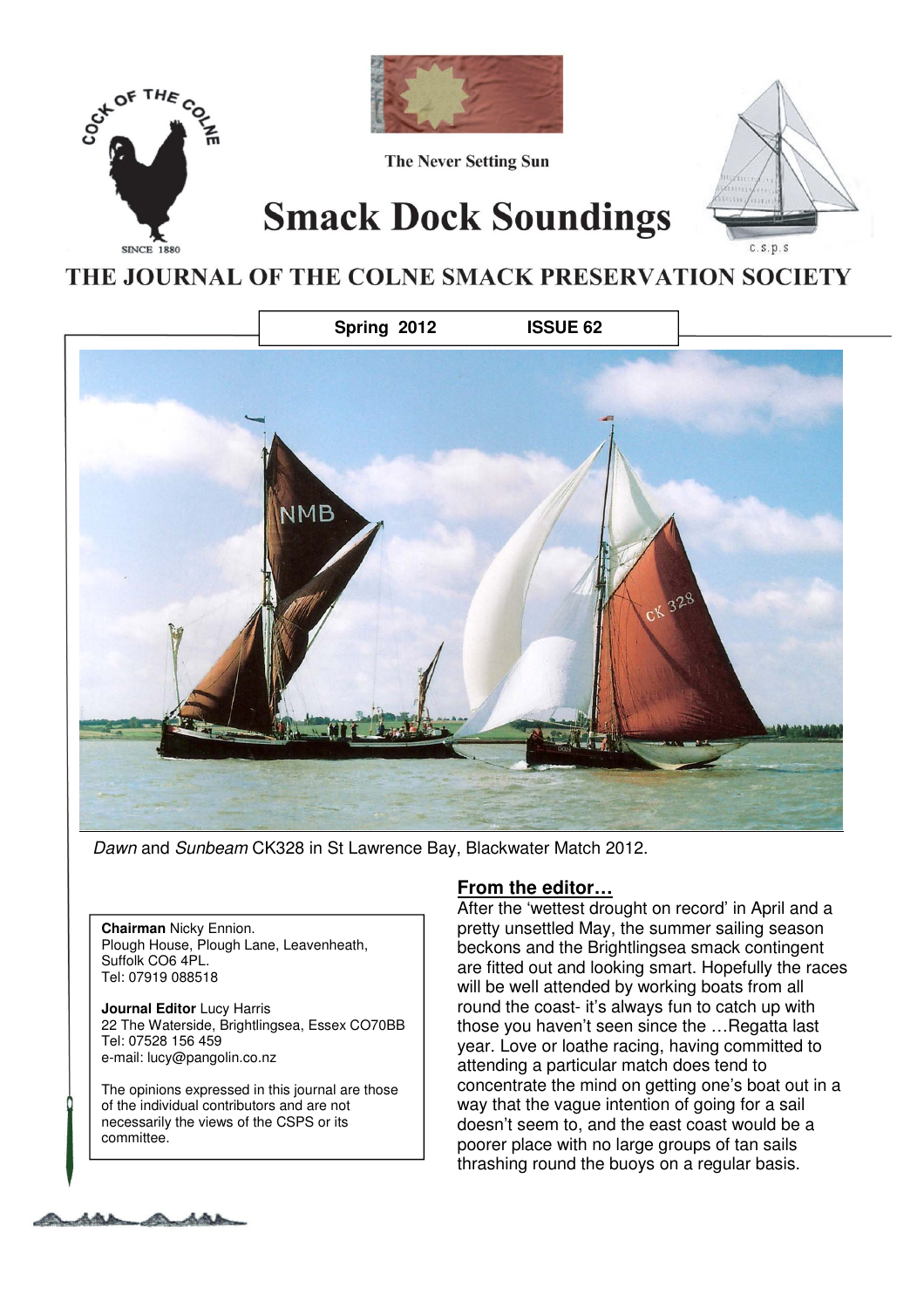



Dawn and Sunbeam CK328 in St Lawrence Bay, Blackwater Match 2012.

**Chairman** Nicky Ennion. Plough House, Plough Lane, Leavenheath, Suffolk CO6 4PL. Tel: 07919 088518

**Journal Editor** Lucy Harris 22 The Waterside, Brightlingsea, Essex CO70BB Tel: 07528 156 459 e-mail: lucy@pangolin.co.nz

The opinions expressed in this journal are those of the individual contributors and are not necessarily the views of the CSPS or its committee.

### **From the editor…**

After the 'wettest drought on record' in April and a pretty unsettled May, the summer sailing season beckons and the Brightlingsea smack contingent are fitted out and looking smart. Hopefully the races will be well attended by working boats from all round the coast- it's always fun to catch up with those you haven't seen since the …Regatta last year. Love or loathe racing, having committed to attending a particular match does tend to concentrate the mind on getting one's boat out in a way that the vague intention of going for a sail doesn't seem to, and the east coast would be a poorer place with no large groups of tan sails thrashing round the buoys on a regular basis.

Issue 62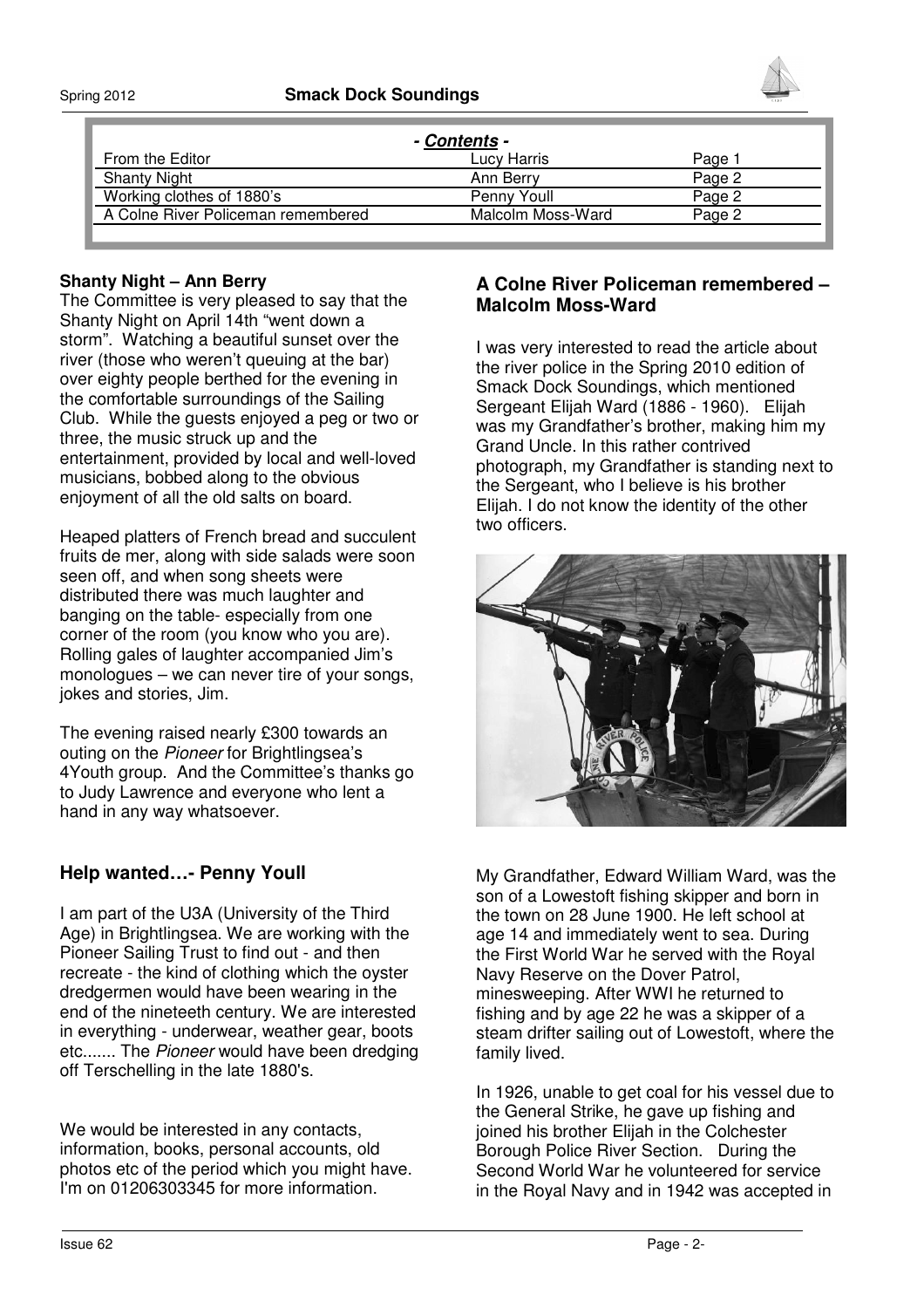

| - Contents -                       |                   |        |
|------------------------------------|-------------------|--------|
| From the Editor                    | Lucy Harris.      | Paαe   |
| <b>Shanty Night</b>                | Ann Berry         | Page 2 |
| Working clothes of 1880's          | Penny Youll       | Pane   |
| A Colne River Policeman remembered | Malcolm Moss-Ward | Page.  |
|                                    |                   |        |

#### **Shanty Night – Ann Berry**

The Committee is very pleased to say that the Shanty Night on April 14th "went down a storm". Watching a beautiful sunset over the river (those who weren't queuing at the bar) over eighty people berthed for the evening in the comfortable surroundings of the Sailing Club. While the guests enjoyed a peg or two or three, the music struck up and the entertainment, provided by local and well-loved musicians, bobbed along to the obvious enjoyment of all the old salts on board.

Heaped platters of French bread and succulent fruits de mer, along with side salads were soon seen off, and when song sheets were distributed there was much laughter and banging on the table- especially from one corner of the room (you know who you are). Rolling gales of laughter accompanied Jim's monologues – we can never tire of your songs, jokes and stories, Jim.

The evening raised nearly £300 towards an outing on the Pioneer for Brightlingsea's 4Youth group. And the Committee's thanks go to Judy Lawrence and everyone who lent a hand in any way whatsoever.

## **Help wanted…- Penny Youll**

I am part of the U3A (University of the Third Age) in Brightlingsea. We are working with the Pioneer Sailing Trust to find out - and then recreate - the kind of clothing which the oyster dredgermen would have been wearing in the end of the nineteeth century. We are interested in everything - underwear, weather gear, boots etc....... The Pioneer would have been dredging off Terschelling in the late 1880's.

We would be interested in any contacts, information, books, personal accounts, old photos etc of the period which you might have. I'm on 01206303345 for more information.

### **A Colne River Policeman remembered – Malcolm Moss-Ward**

I was very interested to read the article about the river police in the Spring 2010 edition of Smack Dock Soundings, which mentioned Sergeant Elijah Ward (1886 - 1960). Elijah was my Grandfather's brother, making him my Grand Uncle. In this rather contrived photograph, my Grandfather is standing next to the Sergeant, who I believe is his brother Elijah. I do not know the identity of the other two officers.



My Grandfather, Edward William Ward, was the son of a Lowestoft fishing skipper and born in the town on 28 June 1900. He left school at age 14 and immediately went to sea. During the First World War he served with the Royal Navy Reserve on the Dover Patrol, minesweeping. After WWI he returned to fishing and by age 22 he was a skipper of a steam drifter sailing out of Lowestoft, where the family lived.

In 1926, unable to get coal for his vessel due to the General Strike, he gave up fishing and joined his brother Elijah in the Colchester Borough Police River Section. During the Second World War he volunteered for service in the Royal Navy and in 1942 was accepted in